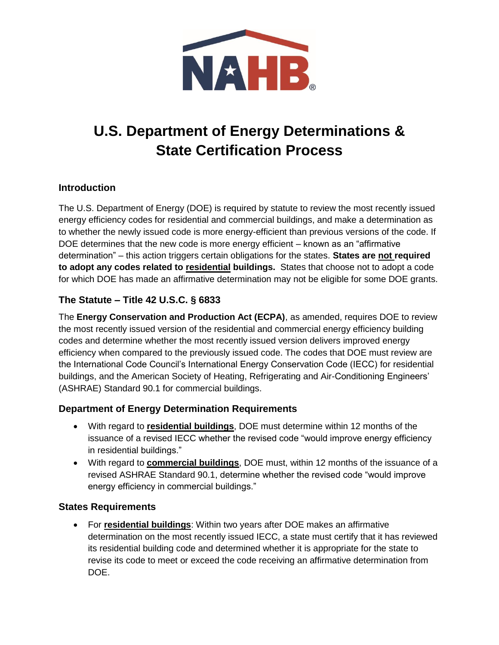

# **U.S. Department of Energy Determinations & State Certification Process**

### **Introduction**

The U.S. Department of Energy (DOE) is required by statute to review the most recently issued energy efficiency codes for residential and commercial buildings, and make a determination as to whether the newly issued code is more energy-efficient than previous versions of the code. If DOE determines that the new code is more energy efficient – known as an "affirmative determination" – this action triggers certain obligations for the states. **States are not required to adopt any codes related to residential buildings.** States that choose not to adopt a code for which DOE has made an affirmative determination may not be eligible for some DOE grants.

## **The Statute – Title 42 U.S.C. § 6833**

The **Energy Conservation and Production Act (ECPA)**, as amended, requires DOE to review the most recently issued version of the residential and commercial energy efficiency building codes and determine whether the most recently issued version delivers improved energy efficiency when compared to the previously issued code. The codes that DOE must review are the International Code Council's International Energy Conservation Code (IECC) for residential buildings, and the American Society of Heating, Refrigerating and Air-Conditioning Engineers' (ASHRAE) Standard 90.1 for commercial buildings.

## **Department of Energy Determination Requirements**

- With regard to **residential buildings**, DOE must determine within 12 months of the issuance of a revised IECC whether the revised code "would improve energy efficiency in residential buildings."
- With regard to **commercial buildings**, DOE must, within 12 months of the issuance of a revised ASHRAE Standard 90.1, determine whether the revised code "would improve energy efficiency in commercial buildings."

### **States Requirements**

 For **residential buildings**: Within two years after DOE makes an affirmative determination on the most recently issued IECC, a state must certify that it has reviewed its residential building code and determined whether it is appropriate for the state to revise its code to meet or exceed the code receiving an affirmative determination from DOE.